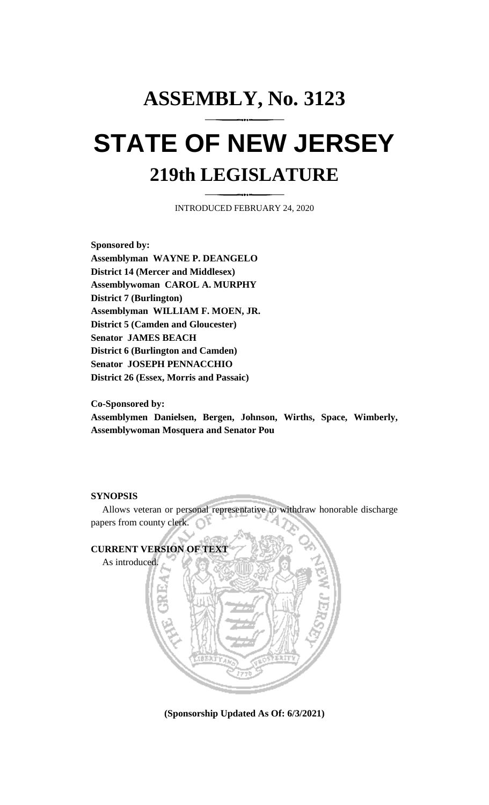## **ASSEMBLY, No. 3123 STATE OF NEW JERSEY 219th LEGISLATURE**

INTRODUCED FEBRUARY 24, 2020

**Sponsored by: Assemblyman WAYNE P. DEANGELO District 14 (Mercer and Middlesex) Assemblywoman CAROL A. MURPHY District 7 (Burlington) Assemblyman WILLIAM F. MOEN, JR. District 5 (Camden and Gloucester) Senator JAMES BEACH District 6 (Burlington and Camden) Senator JOSEPH PENNACCHIO District 26 (Essex, Morris and Passaic)**

**Co-Sponsored by:**

**Assemblymen Danielsen, Bergen, Johnson, Wirths, Space, Wimberly, Assemblywoman Mosquera and Senator Pou**

## **SYNOPSIS**

Allows veteran or personal representative to withdraw honorable discharge papers from county clerk.



**(Sponsorship Updated As Of: 6/3/2021)**